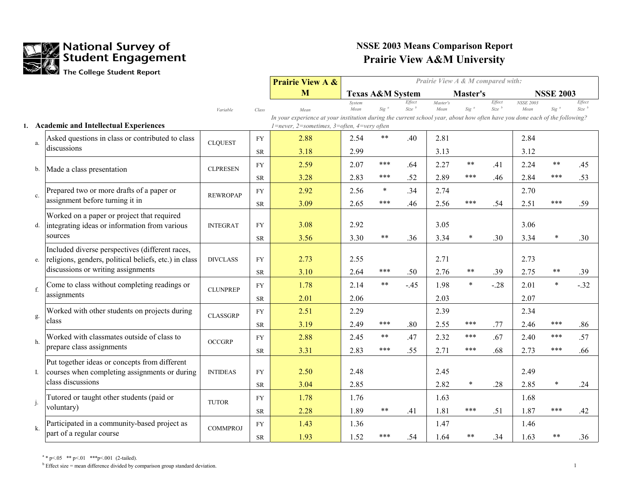

|                |                                                                                                          |                 |           | <b>Prairie View A &amp;</b>                                                                                                         | Prairie View A & M compared with: |                             |                       |                  |              |                       |                          |                  |                       |
|----------------|----------------------------------------------------------------------------------------------------------|-----------------|-----------|-------------------------------------------------------------------------------------------------------------------------------------|-----------------------------------|-----------------------------|-----------------------|------------------|--------------|-----------------------|--------------------------|------------------|-----------------------|
|                |                                                                                                          |                 |           | M                                                                                                                                   |                                   | <b>Texas A&amp;M System</b> |                       |                  | Master's     |                       |                          | <b>NSSE 2003</b> |                       |
|                |                                                                                                          | Variable        | Class     | Mean<br>In your experience at your institution during the current school year, about how often have you done each of the following? | System<br>Mean                    | $Sig^a$                     | Effect<br>$Size^{-b}$ | Master's<br>Mean | $Sig^a$      | Effect<br>$Size^{-b}$ | <b>NSSE 2003</b><br>Mean | Sig              | Effect<br>$Size^{-b}$ |
|                | 1. Academic and Intellectual Experiences                                                                 |                 |           | $1$ =never, 2=sometimes, 3=often, 4=very often                                                                                      |                                   |                             |                       |                  |              |                       |                          |                  |                       |
| a.             | Asked questions in class or contributed to class<br>discussions                                          | <b>CLQUEST</b>  | <b>FY</b> | 2.88<br>3.18                                                                                                                        | 2.54<br>2.99                      | $***$                       | .40                   | 2.81<br>3.13     |              |                       | 2.84<br>3.12             |                  |                       |
|                |                                                                                                          |                 | <b>SR</b> |                                                                                                                                     |                                   |                             |                       |                  |              |                       |                          |                  |                       |
| b.             | Made a class presentation                                                                                | <b>CLPRESEN</b> | <b>FY</b> | 2.59                                                                                                                                | 2.07                              | ***<br>***                  | .64                   | 2.27             | $***$<br>*** | .41                   | 2.24                     | $***$<br>***     | .45                   |
|                |                                                                                                          |                 | <b>SR</b> | 3.28                                                                                                                                | 2.83                              |                             | .52                   | 2.89             |              | .46                   | 2.84                     |                  | .53                   |
| c.             | Prepared two or more drafts of a paper or                                                                | <b>REWROPAP</b> | <b>FY</b> | 2.92                                                                                                                                | 2.56                              | $\ast$                      | .34                   | 2.74             |              |                       | 2.70                     |                  |                       |
|                | assignment before turning it in                                                                          |                 | <b>SR</b> | 3.09                                                                                                                                | 2.65                              | ***                         | .46                   | 2.56             | ***          | .54                   | 2.51                     | ***              | .59                   |
| d.             | Worked on a paper or project that required<br>integrating ideas or information from various              | <b>INTEGRAT</b> | <b>FY</b> | 3.08                                                                                                                                | 2.92                              |                             |                       | 3.05             |              |                       | 3.06                     |                  |                       |
|                | sources                                                                                                  |                 | <b>SR</b> | 3.56                                                                                                                                | 3.30                              | $\star$ $\star$             | .36                   | 3.34             | $\ast$       | .30                   | 3.34                     | $\star$          | .30                   |
| e.             | Included diverse perspectives (different races,<br>religions, genders, political beliefs, etc.) in class | <b>DIVCLASS</b> | <b>FY</b> | 2.73                                                                                                                                | 2.55                              |                             |                       | 2.71             |              |                       | 2.73                     |                  |                       |
|                | discussions or writing assignments                                                                       |                 | <b>SR</b> | 3.10                                                                                                                                | 2.64                              | ***                         | .50                   | 2.76             | $***$        | .39                   | 2.75                     | $***$            | .39                   |
| f.             | Come to class without completing readings or                                                             | <b>CLUNPREP</b> | <b>FY</b> | 1.78                                                                                                                                | 2.14                              | $***$                       | $-.45$                | 1.98             | $\star$      | $-.28$                | 2.01                     | $\star$          | $-32$                 |
|                | assignments                                                                                              |                 | <b>SR</b> | 2.01                                                                                                                                | 2.06                              |                             |                       | 2.03             |              |                       | 2.07                     |                  |                       |
| g.             | Worked with other students on projects during                                                            | <b>CLASSGRP</b> | <b>FY</b> | 2.51                                                                                                                                | 2.29                              |                             |                       | 2.39             |              |                       | 2.34                     |                  |                       |
|                | class                                                                                                    |                 | <b>SR</b> | 3.19                                                                                                                                | 2.49                              | ***                         | .80                   | 2.55             | ***          | .77                   | 2.46                     | ***              | .86                   |
| h.             | Worked with classmates outside of class to                                                               | <b>OCCGRP</b>   | <b>FY</b> | 2.88                                                                                                                                | 2.45                              | $***$                       | .47                   | 2.32             | ***          | .67                   | 2.40                     | $***$            | .57                   |
|                | prepare class assignments                                                                                |                 | <b>SR</b> | 3.31                                                                                                                                | 2.83                              | ***                         | .55                   | 2.71             | ***          | .68                   | 2.73                     | ***              | .66                   |
|                | Put together ideas or concepts from different<br>courses when completing assignments or during           | <b>INTIDEAS</b> | <b>FY</b> | 2.50                                                                                                                                | 2.48                              |                             |                       | 2.45             |              |                       | 2.49                     |                  |                       |
|                | class discussions                                                                                        |                 | <b>SR</b> | 3.04                                                                                                                                | 2.85                              |                             |                       | 2.82             | $\ast$       | .28                   | 2.85                     | $\ast$           | .24                   |
|                | Tutored or taught other students (paid or                                                                |                 | <b>FY</b> | 1.78                                                                                                                                | 1.76                              |                             |                       | 1.63             |              |                       | 1.68                     |                  |                       |
| j.             | voluntary)                                                                                               | <b>TUTOR</b>    | <b>SR</b> | 2.28                                                                                                                                | 1.89                              | $***$                       | .41                   | 1.81             | ***          | .51                   | 1.87                     | ***              | .42                   |
| $\mathbf{k}$ . | Participated in a community-based project as                                                             | <b>COMMPROJ</b> | <b>FY</b> | 1.43                                                                                                                                | 1.36                              |                             |                       | 1.47             |              |                       | 1.46                     |                  |                       |
|                | part of a regular course                                                                                 |                 | <b>SR</b> | 1.93                                                                                                                                | 1.52                              | ***                         | .54                   | 1.64             | **           | .34                   | 1.63                     | $***$            | .36                   |

 $a * p < 05$  \*\*  $p < 01$  \*\*\*  $p < 001$  (2-tailed).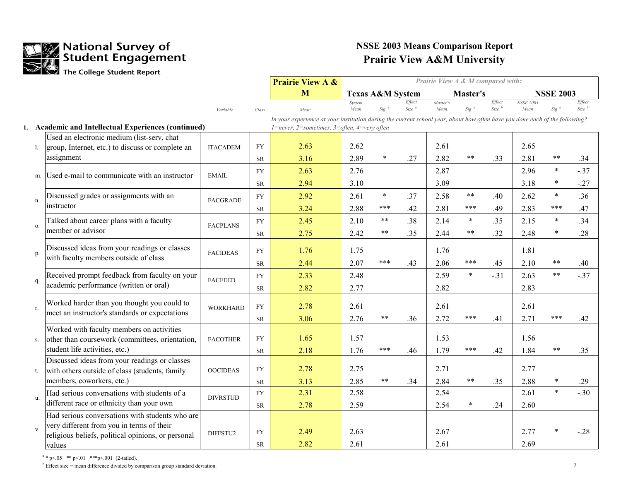

|                |                                                                                   |                 |            | <b>Prairie View A &amp;</b>                                                                                                 | Prairie View A & M compared with: |                             |                             |                  |            |                       |                          |                  |                             |
|----------------|-----------------------------------------------------------------------------------|-----------------|------------|-----------------------------------------------------------------------------------------------------------------------------|-----------------------------------|-----------------------------|-----------------------------|------------------|------------|-----------------------|--------------------------|------------------|-----------------------------|
|                |                                                                                   |                 |            | M                                                                                                                           |                                   | <b>Texas A&amp;M System</b> |                             |                  | Master's   |                       |                          | <b>NSSE 2003</b> |                             |
|                |                                                                                   | Variable        | Class      | Mean                                                                                                                        | System<br>Mean                    | $Sig^a$                     | Effect<br>Size <sup>b</sup> | Master's<br>Mean | $Sig^a$    | Effect<br>$Size^{-b}$ | <b>NSSE 2003</b><br>Mean | Sig <sup>c</sup> | Effect<br>Size <sup>b</sup> |
|                |                                                                                   |                 |            | In your experience at your institution during the current school year, about how often have you done each of the following? |                                   |                             |                             |                  |            |                       |                          |                  |                             |
|                | 1. Academic and Intellectual Experiences (continued)                              |                 |            | $1$ =never, 2=sometimes, 3=often, 4=very often                                                                              |                                   |                             |                             |                  |            |                       |                          |                  |                             |
|                | Used an electronic medium (list-serv, chat                                        |                 |            |                                                                                                                             |                                   |                             |                             |                  |            |                       |                          |                  |                             |
|                | group, Internet, etc.) to discuss or complete an                                  | <b>ITACADEM</b> | ${\rm FY}$ | 2.63                                                                                                                        | 2.62                              |                             |                             | 2.61             |            |                       | 2.65                     |                  |                             |
|                | assignment                                                                        |                 | ${\rm SR}$ | 3.16                                                                                                                        | 2.89                              |                             | .27                         | 2.82             | **         | .33                   | 2.81                     | $***$            | .34                         |
|                | m. Used e-mail to communicate with an instructor                                  | EMAIL           | <b>FY</b>  | 2.63                                                                                                                        | 2.76                              |                             |                             | 2.87             |            |                       | 2.96                     | $\ast$           | $-.37$                      |
|                |                                                                                   |                 | <b>SR</b>  | 2.94                                                                                                                        | 3.10                              |                             |                             | 3.09             |            |                       | 3.18                     |                  | $-27$                       |
| n.             | Discussed grades or assignments with an                                           | <b>FACGRADE</b> | ${\rm FY}$ | 2.92                                                                                                                        | 2.61                              | $\ast$                      | .37                         | 2.58             | $***$      | .40                   | 2.62                     | $\star$          | .36                         |
|                | instructor                                                                        |                 | <b>SR</b>  | 3.24                                                                                                                        | 2.88                              | ***                         | .42                         | 2.81             | ***        | .49                   | 2.83                     | ***              | .47                         |
|                | Talked about career plans with a faculty                                          |                 | ${\rm FY}$ | 2.45                                                                                                                        | 2.10                              | $***$                       | .38                         | 2.14             | $\star$    | .35                   | 2.15                     | $\star$          | .34                         |
| $\mathbf{O}$ . | member or advisor                                                                 | <b>FACPLANS</b> | <b>SR</b>  | 2.75                                                                                                                        | 2.42                              | $***$                       | .35                         | 2.44             | $\ast\ast$ | .32                   | 2.48                     | *                | .28                         |
|                | Discussed ideas from your readings or classes                                     |                 |            |                                                                                                                             |                                   |                             |                             |                  |            |                       |                          |                  |                             |
| p.             | with faculty members outside of class                                             | <b>FACIDEAS</b> | <b>FY</b>  | 1.76                                                                                                                        | 1.75                              |                             |                             | 1.76             |            |                       | 1.81                     |                  |                             |
|                |                                                                                   |                 | <b>SR</b>  | 2.44                                                                                                                        | 2.07                              | ***                         | .43                         | 2.06             | ***        | .45                   | 2.10                     | $***$            | .40                         |
|                | Received prompt feedback from faculty on your                                     | <b>FACFEED</b>  | <b>FY</b>  | 2.33                                                                                                                        | 2.48                              |                             |                             | 2.59             | $\ast$     | $-.31$                | 2.63                     | $***$            | $-0.37$                     |
|                | academic performance (written or oral)                                            |                 | <b>SR</b>  | 2.82                                                                                                                        | 2.77                              |                             |                             | 2.82             |            |                       | 2.83                     |                  |                             |
|                | Worked harder than you thought you could to                                       |                 |            |                                                                                                                             |                                   |                             |                             |                  |            |                       |                          |                  |                             |
| r.             | meet an instructor's standards or expectations                                    | <b>WORKHARD</b> | <b>FY</b>  | 2.78                                                                                                                        | 2.61                              |                             |                             | 2.61             |            |                       | 2.61                     |                  |                             |
|                |                                                                                   |                 | ${\rm SR}$ | 3.06                                                                                                                        | 2.76                              | $***$                       | .36                         | 2.72             | ***        | .41                   | 2.71                     | ***              | .42                         |
|                | Worked with faculty members on activities                                         | <b>FACOTHER</b> | ${\rm FY}$ | 1.65                                                                                                                        | 1.57                              |                             |                             | 1.53             |            |                       | 1.56                     |                  |                             |
| S.             | other than coursework (committees, orientation,<br>student life activities, etc.) |                 |            | 2.18                                                                                                                        | 1.76                              | ***                         | .46                         | 1.79             | ***        | .42                   | 1.84                     | $***$            | .35                         |
|                | Discussed ideas from your readings or classes                                     |                 | ${\rm SR}$ |                                                                                                                             |                                   |                             |                             |                  |            |                       |                          |                  |                             |
| t.             | with others outside of class (students, family                                    | <b>OOCIDEAS</b> | <b>FY</b>  | 2.78                                                                                                                        | 2.75                              |                             |                             | 2.71             |            |                       | 2.77                     |                  |                             |
|                | members, coworkers, etc.)                                                         |                 | ${\rm SR}$ | 3.13                                                                                                                        | 2.85                              | $***$                       | .34                         | 2.84             | $\ast\ast$ | .35                   | 2.88                     |                  | .29                         |
|                | Had serious conversations with students of a                                      |                 | ${\rm FY}$ | 2.31                                                                                                                        | 2.58                              |                             |                             | 2.54             |            |                       | 2.61                     | $\ast$           | $-.30$                      |
| u.             | different race or ethnicity than your own                                         | <b>DIVRSTUD</b> | ${\rm SR}$ | 2.78                                                                                                                        | 2.59                              |                             |                             | 2.54             | $\ast$     | .24                   | 2.60                     |                  |                             |
|                | Had serious conversations with students who are                                   |                 |            |                                                                                                                             |                                   |                             |                             |                  |            |                       |                          |                  |                             |
|                | very different from you in terms of their                                         |                 |            |                                                                                                                             |                                   |                             |                             |                  |            |                       |                          |                  |                             |
|                | religious beliefs, political opinions, or personal                                | DIFFSTU2        | <b>FY</b>  | 2.49                                                                                                                        | 2.63                              |                             |                             | 2.67             |            |                       | 2.77                     |                  | $-28$                       |
|                | values                                                                            |                 | ${\rm SR}$ | 2.82                                                                                                                        | 2.61                              |                             |                             | 2.61             |            |                       | 2.69                     |                  |                             |

 $a * p < 05$  \*\*  $p < 01$  \*\*\*  $p < 001$  (2-tailed).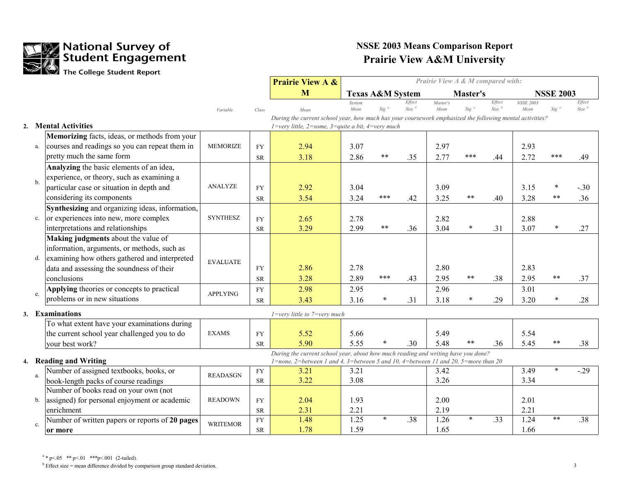

|                  |               |                                                 |                 |            | <b>Prairie View A &amp;</b>                                                                              | Prairie View A & M compared with: |                             |                             |                  |          |                  |                          |                  |                       |
|------------------|---------------|-------------------------------------------------|-----------------|------------|----------------------------------------------------------------------------------------------------------|-----------------------------------|-----------------------------|-----------------------------|------------------|----------|------------------|--------------------------|------------------|-----------------------|
|                  |               |                                                 |                 |            | M                                                                                                        |                                   | <b>Texas A&amp;M System</b> |                             |                  | Master's |                  |                          | <b>NSSE 2003</b> |                       |
|                  |               |                                                 | Variable        | Class      | Mean                                                                                                     | System<br>Mean                    | Sig                         | Effect<br>Size <sup>b</sup> | Master's<br>Mean | $Sig^a$  | Effect<br>Size b | <b>NSSE 2003</b><br>Mean | Sig              | Effect<br>$Size^{-b}$ |
|                  |               |                                                 |                 |            | During the current school year, how much has your coursework emphasized the following mental activities? |                                   |                             |                             |                  |          |                  |                          |                  |                       |
| $\overline{2}$ . |               | <b>Mental Activities</b>                        |                 |            | $1$ =very little, 2=some, 3=quite a bit, 4=very much                                                     |                                   |                             |                             |                  |          |                  |                          |                  |                       |
|                  |               | Memorizing facts, ideas, or methods from your   |                 |            |                                                                                                          |                                   |                             |                             |                  |          |                  |                          |                  |                       |
|                  | a.            | courses and readings so you can repeat them in  | <b>MEMORIZE</b> | <b>FY</b>  | 2.94                                                                                                     | 3.07                              |                             |                             | 2.97             |          |                  | 2.93                     |                  |                       |
|                  |               | pretty much the same form                       |                 | <b>SR</b>  | 3.18                                                                                                     | 2.86                              | $***$                       | .35                         | 2.77             | ***      | .44              | 2.72                     | ***              | .49                   |
|                  |               | Analyzing the basic elements of an idea,        |                 |            |                                                                                                          |                                   |                             |                             |                  |          |                  |                          |                  |                       |
|                  | $b$           | experience, or theory, such as examining a      |                 |            |                                                                                                          |                                   |                             |                             |                  |          |                  |                          |                  |                       |
|                  |               | particular case or situation in depth and       | <b>ANALYZE</b>  | <b>FY</b>  | 2.92                                                                                                     | 3.04                              |                             |                             | 3.09             |          |                  | 3.15                     |                  | $-.30$                |
|                  |               | considering its components                      |                 | <b>SR</b>  | 3.54                                                                                                     | 3.24                              | ***                         | .42                         | 3.25             | $***$    | .40              | 3.28                     | **               | .36                   |
|                  |               | Synthesizing and organizing ideas, information, |                 |            |                                                                                                          |                                   |                             |                             |                  |          |                  |                          |                  |                       |
|                  | $\mathbf{c}.$ | or experiences into new, more complex           | <b>SYNTHESZ</b> | ${\rm FY}$ | 2.65                                                                                                     | 2.78                              |                             |                             | 2.82             |          |                  | 2.88                     |                  |                       |
|                  |               | interpretations and relationships               |                 | <b>SR</b>  | 3.29                                                                                                     | 2.99                              | $\star$ $\star$             | .36                         | 3.04             | $\ast$   | .31              | 3.07                     |                  | .27                   |
|                  |               | Making judgments about the value of             |                 |            |                                                                                                          |                                   |                             |                             |                  |          |                  |                          |                  |                       |
|                  |               | information, arguments, or methods, such as     |                 |            |                                                                                                          |                                   |                             |                             |                  |          |                  |                          |                  |                       |
|                  | d.            | examining how others gathered and interpreted   | <b>EVALUATE</b> |            |                                                                                                          |                                   |                             |                             |                  |          |                  |                          |                  |                       |
|                  |               | data and assessing the soundness of their       |                 | <b>FY</b>  | 2.86                                                                                                     | 2.78                              |                             |                             | 2.80             |          |                  | 2.83                     |                  |                       |
|                  |               | conclusions                                     |                 | ${\rm SR}$ | 3.28                                                                                                     | 2.89                              | ***                         | .43                         | 2.95             | $***$    | .38              | 2.95                     | **               | .37                   |
|                  | e.            | Applying theories or concepts to practical      | <b>APPLYING</b> | <b>FY</b>  | 2.98                                                                                                     | 2.95                              |                             |                             | 2.96             |          |                  | 3.01                     |                  |                       |
|                  |               | problems or in new situations                   |                 | <b>SR</b>  | 3.43                                                                                                     | 3.16                              | $\ast$                      | .31                         | 3.18             | $\ast$   | .29              | 3.20                     |                  | .28                   |
|                  |               | 3. Examinations                                 |                 |            | $1 = \text{very little to } 7 = \text{very much}$                                                        |                                   |                             |                             |                  |          |                  |                          |                  |                       |
|                  |               | To what extent have your examinations during    |                 |            |                                                                                                          |                                   |                             |                             |                  |          |                  |                          |                  |                       |
|                  |               | the current school year challenged you to do    | <b>EXAMS</b>    | <b>FY</b>  | 5.52                                                                                                     | 5.66                              |                             |                             | 5.49             |          |                  | 5.54                     |                  |                       |
|                  |               | your best work?                                 |                 | ${\rm SR}$ | 5.90                                                                                                     | 5.55                              |                             | .30                         | 5.48             | $***$    | .36              | 5.45                     | **               | .38                   |
|                  |               |                                                 |                 |            | During the current school year, about how much reading and writing have you done?                        |                                   |                             |                             |                  |          |                  |                          |                  |                       |
|                  |               | 4. Reading and Writing                          |                 |            | 1=none, 2=between 1 and 4, 3=between 5 and 10, 4=between 11 and 20, 5=more than 20                       |                                   |                             |                             |                  |          |                  |                          |                  |                       |
|                  | a.            | Number of assigned textbooks, books, or         | <b>READASGN</b> | ${\rm FY}$ | 3.21                                                                                                     | 3.21                              |                             |                             | 3.42             |          |                  | 3.49                     | $\ast$           | $-0.29$               |
|                  |               | book-length packs of course readings            |                 | ${\rm SR}$ | 3.22                                                                                                     | 3.08                              |                             |                             | 3.26             |          |                  | 3.34                     |                  |                       |
|                  |               | Number of books read on your own (not           |                 |            |                                                                                                          |                                   |                             |                             |                  |          |                  |                          |                  |                       |
|                  | b.            | assigned) for personal enjoyment or academic    | <b>READOWN</b>  | <b>FY</b>  | 2.04                                                                                                     | 1.93                              |                             |                             | 2.00             |          |                  | 2.01                     |                  |                       |
|                  |               | enrichment                                      |                 | <b>SR</b>  | 2.31                                                                                                     | 2.21                              | $\ast$                      |                             | 2.19             | $\ast$   |                  | 2.21                     | **               |                       |
|                  | c.            | Number of written papers or reports of 20 pages | <b>WRITEMOR</b> | ${\rm FY}$ | 1.48                                                                                                     | 1.25                              |                             | .38                         | 1.26             |          | .33              | 1.24                     |                  | .38                   |
|                  |               | or more                                         |                 | <b>SR</b>  | 1.78                                                                                                     | 1.59                              |                             |                             | 1.65             |          |                  | 1.66                     |                  |                       |

 $a * p < 05$  \*\*  $p < 01$  \*\*\*  $p < 001$  (2-tailed).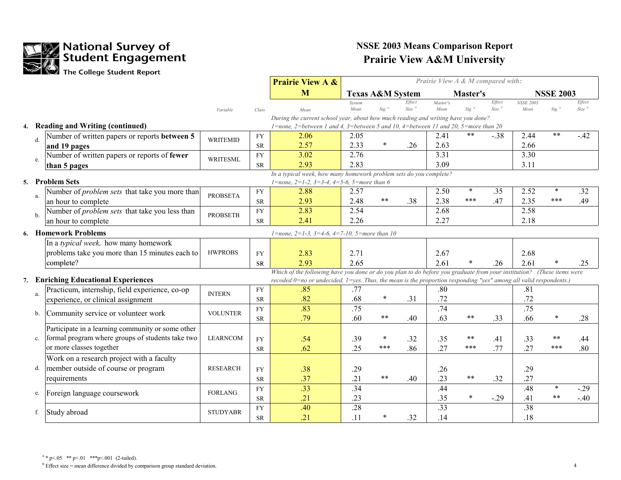

|    |                                                                                        |                 |            | <b>Prairie View A &amp;</b>                                                                                            | Prairie View A & M compared with: |                             |                             |                  |          |                         |                          |                  |                               |
|----|----------------------------------------------------------------------------------------|-----------------|------------|------------------------------------------------------------------------------------------------------------------------|-----------------------------------|-----------------------------|-----------------------------|------------------|----------|-------------------------|--------------------------|------------------|-------------------------------|
|    |                                                                                        |                 |            | M                                                                                                                      |                                   | <b>Texas A&amp;M System</b> |                             |                  | Master's |                         |                          | <b>NSSE 2003</b> |                               |
|    |                                                                                        | Variable        |            | Mean                                                                                                                   | System<br>Mean                    | Sig                         | Effect<br>Size <sup>b</sup> | Master's<br>Mean | $Sig^a$  | Effect<br>$Size \ ^{b}$ | <b>NSSE 2003</b><br>Mean | Sig              | Effect<br>$Size \binom{b}{b}$ |
|    |                                                                                        |                 | Class      | During the current school year, about how much reading and writing have you done?                                      |                                   |                             |                             |                  |          |                         |                          |                  |                               |
|    | 4. Reading and Writing (continued)                                                     |                 |            | $1$ =none, 2=between 1 and 4, 3=between 5 and 10, 4=between 11 and 20, 5=more than 20                                  |                                   |                             |                             |                  |          |                         |                          |                  |                               |
|    | Number of written papers or reports between 5<br>$\mathbf{d}$                          | <b>WRITEMID</b> | <b>FY</b>  | 2.06                                                                                                                   | 2.05                              |                             |                             | 2.41             | $***$    | $-0.38$                 | 2.44                     | $**$             | $-42$                         |
|    | and 19 pages                                                                           |                 | ${\rm SR}$ | 2.57                                                                                                                   | 2.33                              | $\ast$                      | .26                         | 2.63             |          |                         | 2.66                     |                  |                               |
|    | Number of written papers or reports of fewer<br>e.                                     | <b>WRITESML</b> | ${\rm FY}$ | 3.02                                                                                                                   | 2.76                              |                             |                             | 3.31             |          |                         | 3.30                     |                  |                               |
|    | than 5 pages                                                                           |                 | <b>SR</b>  | 2.93                                                                                                                   | 2.83                              |                             |                             | 3.09             |          |                         | 3.11                     |                  |                               |
|    |                                                                                        |                 |            | In a typical week, how many homework problem sets do you complete?                                                     |                                   |                             |                             |                  |          |                         |                          |                  |                               |
| 5. | <b>Problem Sets</b>                                                                    |                 | <b>FY</b>  | 1=none, 2=1-2, 3=3-4, 4=5-6, 5=more than 6<br>2.88                                                                     | 2.57                              |                             |                             | 2.50             | $\star$  | .35                     | 2.52                     | $\ast$           | .32                           |
|    | Number of <i>problem sets</i> that take you more than<br>a.<br>an hour to complete     | <b>PROBSETA</b> | <b>SR</b>  | 2.93                                                                                                                   | 2.48                              | $\star$ $\star$             | .38                         | 2.38             | $***$    | .47                     | 2.35                     | ***              | .49                           |
|    | Number of <i>problem sets</i> that take you less than                                  |                 | ${\rm FY}$ | 2.83                                                                                                                   | 2.54                              |                             |                             | 2.68             |          |                         | 2.58                     |                  |                               |
|    | $b$<br>an hour to complete                                                             | <b>PROBSETB</b> | <b>SR</b>  | 2.41                                                                                                                   | 2.26                              |                             |                             | 2.27             |          |                         | 2.18                     |                  |                               |
|    |                                                                                        |                 |            |                                                                                                                        |                                   |                             |                             |                  |          |                         |                          |                  |                               |
|    | 6. Homework Problems                                                                   |                 |            | 1=none, 2=1-3, 3=4-6, 4=7-10, 5=more than 10                                                                           |                                   |                             |                             |                  |          |                         |                          |                  |                               |
|    | In a typical week, how many homework<br>problems take you more than 15 minutes each to | <b>HWPROBS</b>  |            |                                                                                                                        |                                   |                             |                             |                  |          |                         |                          |                  |                               |
|    |                                                                                        |                 | <b>FY</b>  | 2.83<br>2.93                                                                                                           | 2.71<br>2.65                      |                             |                             | 2.67             |          |                         | 2.68                     |                  |                               |
|    | complete?                                                                              |                 | <b>SR</b>  | Which of the following have you done or do you plan to do before you graduate from your institution? (These items were |                                   |                             |                             | 2.61             |          | .26                     | 2.61                     |                  | .25                           |
| 7. | <b>Enriching Educational Experiences</b>                                               |                 |            | recoded 0=no or undecided, 1=yes. Thus, the mean is the proportion responding "yes" among all valid respondents.)      |                                   |                             |                             |                  |          |                         |                          |                  |                               |
|    | Practicum, internship, field experience, co-op                                         | <b>INTERN</b>   | <b>FY</b>  | .85                                                                                                                    | .77                               |                             |                             | .80              |          |                         | .81                      |                  |                               |
|    | a.<br>experience, or clinical assignment                                               |                 | <b>SR</b>  | .82                                                                                                                    | .68                               | $\ast$                      | .31                         | .72              |          |                         | .72                      |                  |                               |
|    | Community service or volunteer work<br>b.                                              | <b>VOLUNTER</b> | <b>FY</b>  | .83                                                                                                                    | .75                               |                             |                             | .74              |          |                         | .75                      |                  |                               |
|    |                                                                                        |                 | <b>SR</b>  | .79                                                                                                                    | .60                               | $***$                       | .40                         | .63              | $***$    | .33                     | .66                      |                  | .28                           |
|    | Participate in a learning community or some other                                      |                 |            |                                                                                                                        |                                   |                             |                             |                  |          |                         |                          |                  |                               |
|    | formal program where groups of students take two<br>c.                                 | <b>LEARNCOM</b> | <b>FY</b>  | .54                                                                                                                    | .39                               | $\ast$                      | .32                         | .35              | $***$    | .41                     | .33                      | **               | .44                           |
|    | or more classes together                                                               |                 | <b>SR</b>  | .62                                                                                                                    | .25                               | ***                         | .86                         | .27              | ***      | .77                     | .27                      | ***              | .80 <sub>1</sub>              |
|    | Work on a research project with a faculty                                              |                 |            |                                                                                                                        |                                   |                             |                             |                  |          |                         |                          |                  |                               |
|    | member outside of course or program<br>d.                                              | <b>RESEARCH</b> | <b>FY</b>  | .38                                                                                                                    | .29                               |                             |                             | .26              |          |                         | .29                      |                  |                               |
|    | requirements                                                                           |                 | <b>SR</b>  | .37                                                                                                                    | .21                               | $* *$                       | .40                         | .23              | $***$    | .32                     | .27                      |                  |                               |
|    | Foreign language coursework<br>e.                                                      | <b>FORLANG</b>  | ${\rm FY}$ | .33                                                                                                                    | .34                               |                             |                             | .44              |          |                         | .48                      | $\ast$           | $-0.29$                       |
|    |                                                                                        |                 | ${\rm SR}$ | .21                                                                                                                    | .23                               |                             |                             | .35              | $\ast$   | $-.29$                  | .41                      | **               | $-.40$                        |
|    | Study abroad<br>f.                                                                     | <b>STUDYABR</b> | <b>FY</b>  | .40                                                                                                                    | .28                               |                             |                             | .33              |          |                         | .38                      |                  |                               |
|    |                                                                                        |                 | <b>SR</b>  | .21                                                                                                                    | .11                               |                             | .32                         | .14              |          |                         | .18                      |                  |                               |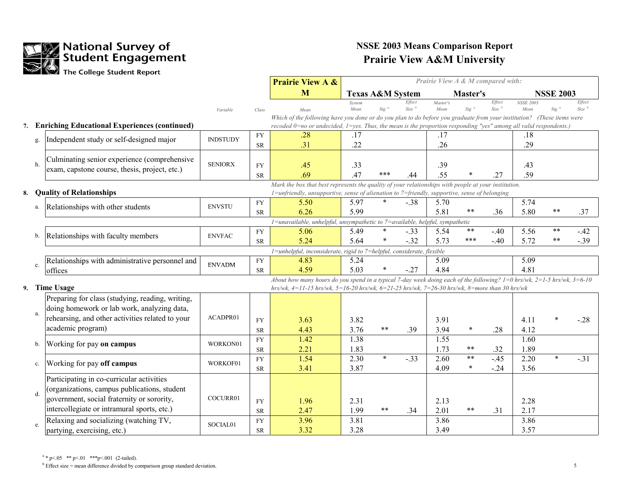

|    |               |                                                            |                 |            | <b>Prairie View A &amp;</b>                                                                                                    | Prairie View A & M compared with: |                 |                             |          |            |                             |                  |                  |                  |
|----|---------------|------------------------------------------------------------|-----------------|------------|--------------------------------------------------------------------------------------------------------------------------------|-----------------------------------|-----------------|-----------------------------|----------|------------|-----------------------------|------------------|------------------|------------------|
|    |               |                                                            |                 |            | M                                                                                                                              | <b>Texas A&amp;M System</b>       |                 |                             |          | Master's   |                             |                  | <b>NSSE 2003</b> |                  |
|    |               |                                                            |                 |            |                                                                                                                                | System                            | $Sig^a$         | Effect<br>Size <sup>b</sup> | Master's | $Sig^a$    | Effect<br>Size <sup>b</sup> | <b>NSSE 2003</b> |                  | Effect<br>Size   |
|    |               |                                                            | Variable        | Class      | Mean<br>Which of the following have you done or do you plan to do before you graduate from your institution? (These items were | Mean                              |                 |                             | Mean     |            |                             | Mean             | Sig <sup>c</sup> |                  |
| 7. |               | <b>Enriching Educational Experiences (continued)</b>       |                 |            | recoded $0=$ no or undecided, $1=$ yes. Thus, the mean is the proportion responding "yes" among all valid respondents.)        |                                   |                 |                             |          |            |                             |                  |                  |                  |
|    |               | Independent study or self-designed major                   | <b>INDSTUDY</b> | <b>FY</b>  | .28                                                                                                                            | .17                               |                 |                             | .17      |            |                             | .18              |                  |                  |
|    | g.            |                                                            |                 | <b>SR</b>  | .31                                                                                                                            | .22                               |                 |                             | .26      |            |                             | .29              |                  |                  |
|    |               | Culminating senior experience (comprehensive               |                 |            |                                                                                                                                |                                   |                 |                             |          |            |                             |                  |                  |                  |
|    | h.            | exam, capstone course, thesis, project, etc.)              | <b>SENIORX</b>  | <b>FY</b>  | .45                                                                                                                            | .33                               |                 |                             | .39      |            |                             | .43              |                  |                  |
|    |               |                                                            |                 | <b>SR</b>  | .69                                                                                                                            | .47                               | ***             | .44                         | .55      |            | .27                         | .59              |                  |                  |
|    |               |                                                            |                 |            | Mark the box that best represents the quality of your relationships with people at your institution.                           |                                   |                 |                             |          |            |                             |                  |                  |                  |
| 8. |               | <b>Quality of Relationships</b>                            |                 |            | 1=unfriendly, unsupportive, sense of alienation to 7=friendly, supportive, sense of belonging                                  |                                   |                 |                             |          |            |                             |                  |                  |                  |
|    | a.            | Relationships with other students                          | <b>ENVSTU</b>   | <b>FY</b>  | 5.50                                                                                                                           | 5.97                              | $\ast$          | $-.38$                      | 5.70     | $***$      |                             | 5.74             | **               |                  |
|    |               |                                                            |                 | <b>SR</b>  | 6.26                                                                                                                           | 5.99                              |                 |                             | 5.81     |            | .36                         | 5.80             |                  | .37              |
|    |               |                                                            |                 |            | 1=unavailable, unhelpful, unsympathetic to 7=available, helpful, sympathetic                                                   |                                   |                 |                             |          | $***$      |                             |                  | $***$            |                  |
|    | b.            | Relationships with faculty members                         | <b>ENVFAC</b>   | ${\rm FY}$ | 5.06<br>5.24                                                                                                                   | 5.49<br>5.64                      | $\ast$          | $-.33$<br>$-.32$            | 5.54     | $***$      | $-40$<br>$-40$              | 5.56<br>5.72     | $***$            | $-42$<br>$-0.39$ |
|    |               |                                                            |                 | ${\rm SR}$ |                                                                                                                                |                                   |                 |                             | 5.73     |            |                             |                  |                  |                  |
|    |               |                                                            |                 | ${\rm FY}$ | 1=unhelpful, inconsiderate, rigid to 7=helpful, considerate, flexible<br>4.83                                                  | 5.24                              |                 |                             | 5.09     |            |                             | 5.09             |                  |                  |
|    | c.            | Relationships with administrative personnel and<br>offices | <b>ENVADM</b>   | ${\rm SR}$ | 4.59                                                                                                                           | 5.03                              |                 | $-.27$                      | 4.84     |            |                             | 4.81             |                  |                  |
|    |               |                                                            |                 |            | About how many hours do you spend in a typical 7-day week doing each of the following? $1=0$ hrs/wk, $2=1-5$ hrs/wk, $3=6-10$  |                                   |                 |                             |          |            |                             |                  |                  |                  |
|    |               | 9. Time Usage                                              |                 |            | $hrs/wk$ , 4=11-15 $hrs/wk$ , 5=16-20 $hrs/wk$ , 6=21-25 $hrs/wk$ , 7=26-30 $hrs/wk$ , 8=more than 30 $hrs/wk$                 |                                   |                 |                             |          |            |                             |                  |                  |                  |
|    |               | Preparing for class (studying, reading, writing,           |                 |            |                                                                                                                                |                                   |                 |                             |          |            |                             |                  |                  |                  |
|    |               | doing homework or lab work, analyzing data,                |                 |            |                                                                                                                                |                                   |                 |                             |          |            |                             |                  |                  |                  |
|    | a.            | rehearsing, and other activities related to your           | ACADPR01        | ${\rm FY}$ | 3.63                                                                                                                           | 3.82                              |                 |                             | 3.91     |            |                             | 4.11             |                  | $-28$            |
|    |               | academic program)                                          |                 | ${\rm SR}$ | 4.43                                                                                                                           | 3.76                              | $* *$           | .39                         | 3.94     | $\ast$     | .28                         | 4.12             |                  |                  |
|    |               |                                                            |                 | ${\rm FY}$ | 1.42                                                                                                                           | 1.38                              |                 |                             | 1.55     |            |                             | 1.60             |                  |                  |
|    | b.            | Working for pay on campus                                  | WORKON01        | ${\rm SR}$ | 2.21                                                                                                                           | 1.83                              |                 |                             | 1.73     | $\ast\ast$ | .32                         | 1.89             |                  |                  |
|    |               |                                                            |                 | ${\rm FY}$ | 1.54                                                                                                                           | 2.30                              | $\ast$          | $-.33$                      | 2.60     | $\ast\ast$ | $-45$                       | 2.20             | $\star$          | $-.31$           |
|    | $\mathbf{c}.$ | Working for pay off campus                                 | WORKOF01        | <b>SR</b>  | 3.41                                                                                                                           | 3.87                              |                 |                             | 4.09     | $\ast$     | $-24$                       | 3.56             |                  |                  |
|    |               | Participating in co-curricular activities                  |                 |            |                                                                                                                                |                                   |                 |                             |          |            |                             |                  |                  |                  |
|    |               | (organizations, campus publications, student               |                 |            |                                                                                                                                |                                   |                 |                             |          |            |                             |                  |                  |                  |
|    | d.            | government, social fraternity or sorority,                 | COCURR01        | ${\rm FY}$ | 1.96                                                                                                                           | 2.31                              |                 |                             | 2.13     |            |                             | 2.28             |                  |                  |
|    |               | intercollegiate or intramural sports, etc.)                |                 | ${\rm SR}$ | 2.47                                                                                                                           | 1.99                              | $\star$ $\star$ | .34                         | 2.01     | $***$      | .31                         | 2.17             |                  |                  |
|    |               | Relaxing and socializing (watching TV,                     |                 | ${\rm FY}$ | 3.96                                                                                                                           | 3.81                              |                 |                             | 3.86     |            |                             | 3.86             |                  |                  |
|    | e.            | partying, exercising, etc.)                                | SOCIAL01        | <b>SR</b>  | 3.32                                                                                                                           | 3.28                              |                 |                             | 3.49     |            |                             | 3.57             |                  |                  |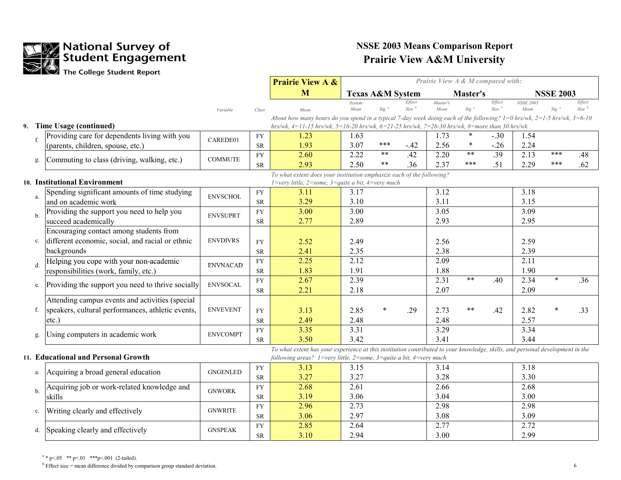

|               |                                                   |                 |                        | <b>Prairie View A &amp;</b>                                                                                                                                                                                                                     | Prairie View A & M compared with: |                                 |                                  |                  |                  |                       |                          |                  |                       |
|---------------|---------------------------------------------------|-----------------|------------------------|-------------------------------------------------------------------------------------------------------------------------------------------------------------------------------------------------------------------------------------------------|-----------------------------------|---------------------------------|----------------------------------|------------------|------------------|-----------------------|--------------------------|------------------|-----------------------|
|               |                                                   |                 |                        | M                                                                                                                                                                                                                                               | <b>Texas A&amp;M System</b>       |                                 |                                  |                  | Master's         |                       |                          | <b>NSSE 2003</b> |                       |
|               |                                                   | Variable        | Class                  | Mean                                                                                                                                                                                                                                            | System<br>Mean                    | $Sig^a$                         | Effect<br>$Size \xrightarrow{b}$ | Master's<br>Mean | Sig <sup>a</sup> | Effect<br>$Size^{-b}$ | <b>NSSE 2003</b><br>Mean | Sig              | Effect<br>$Size^{-b}$ |
| 9.            | Time Usage (continued)                            |                 |                        | About how many hours do you spend in a typical 7-day week doing each of the following? $1=0$ hrs/wk, $2=1-5$ hrs/wk, $3=6-10$<br>$hrs/wk$ , 4=11-15 $hrs/wk$ , 5=16-20 $hrs/wk$ , 6=21-25 $hrs/wk$ , 7=26-30 $hrs/wk$ , 8=more than 30 $hrs/wk$ |                                   |                                 |                                  |                  |                  |                       |                          |                  |                       |
| $f_{\cdot}$   | Providing care for dependents living with you     | CAREDE01        | <b>FY</b>              | 1.23                                                                                                                                                                                                                                            | 1.63                              |                                 |                                  | 1.73             | $\ast$           | $-.30$                | 1.54                     |                  |                       |
|               | (parents, children, spouse, etc.)                 |                 | ${\rm SR}$             | 1.93                                                                                                                                                                                                                                            | 3.07                              | ***                             | $-.42$                           | 2.56             | $\ast$           | $-.26$                | 2.24                     |                  |                       |
| g.            | Commuting to class (driving, walking, etc.)       | <b>COMMUTE</b>  | <b>FY</b><br><b>SR</b> | 2.60<br>2.93                                                                                                                                                                                                                                    | 2.22<br>2.50                      | $\star$ $\star$<br>$\star\star$ | .42<br>.36                       | 2.20<br>2.37     | $***$<br>***     | .39<br>.51            | 2.13<br>2.29             | ***<br>***       | .48<br>.62            |
|               |                                                   |                 |                        | To what extent does your institution emphasize each of the following?                                                                                                                                                                           |                                   |                                 |                                  |                  |                  |                       |                          |                  |                       |
|               | 10. Institutional Environment                     |                 |                        | $1 = \text{very little}, 2 = \text{some}, 3 = \text{quite a bit}, 4 = \text{very much}$                                                                                                                                                         |                                   |                                 |                                  |                  |                  |                       |                          |                  |                       |
| a.            | Spending significant amounts of time studying     | <b>ENVSCHOL</b> | <b>FY</b>              | 3.11                                                                                                                                                                                                                                            | 3.17                              |                                 |                                  | 3.12             |                  |                       | 3.18                     |                  |                       |
|               | and on academic work                              |                 | ${\sf SR}$             | 3.29                                                                                                                                                                                                                                            | 3.10                              |                                 |                                  | 3.11             |                  |                       | 3.15                     |                  |                       |
| $\mathbf{h}$  | Providing the support you need to help you        | <b>ENVSUPRT</b> | ${\rm FY}$             | 3.00                                                                                                                                                                                                                                            | 3.00                              |                                 |                                  | 3.05             |                  |                       | 3.09                     |                  |                       |
|               | succeed academically                              |                 | <b>SR</b>              | 2.77                                                                                                                                                                                                                                            | 2.89                              |                                 |                                  | 2.93             |                  |                       | 2.95                     |                  |                       |
|               | Encouraging contact among students from           |                 |                        |                                                                                                                                                                                                                                                 |                                   |                                 |                                  |                  |                  |                       |                          |                  |                       |
| c.            | different economic, social, and racial or ethnic  | <b>ENVDIVRS</b> | <b>FY</b>              | 2.52                                                                                                                                                                                                                                            | 2.49                              |                                 |                                  | 2.56             |                  |                       | 2.59                     |                  |                       |
|               | backgrounds                                       |                 | <b>SR</b>              | 2.41                                                                                                                                                                                                                                            | 2.35                              |                                 |                                  | 2.38             |                  |                       | 2.39                     |                  |                       |
| $d$ .         | Helping you cope with your non-academic           | <b>ENVNACAD</b> | <b>FY</b>              | 2.25                                                                                                                                                                                                                                            | 2.12                              |                                 |                                  | 2.09             |                  |                       | 2.11                     |                  |                       |
|               | responsibilities (work, family, etc.)             |                 | <b>SR</b>              | 1.83                                                                                                                                                                                                                                            | 1.91                              |                                 |                                  | 1.88             |                  |                       | 1.90                     |                  |                       |
| e.            | Providing the support you need to thrive socially | <b>ENVSOCAL</b> | <b>FY</b>              | 2.67                                                                                                                                                                                                                                            | 2.39                              |                                 |                                  | 2.31             | $***$            | .40                   | 2.34                     | $\ast$           | .36                   |
|               |                                                   |                 | <b>SR</b>              | 2.21                                                                                                                                                                                                                                            | 2.18                              |                                 |                                  | 2.07             |                  |                       | 2.09                     |                  |                       |
|               | Attending campus events and activities (special   |                 |                        |                                                                                                                                                                                                                                                 |                                   |                                 |                                  |                  |                  |                       |                          |                  |                       |
| f.            | speakers, cultural performances, athletic events, | <b>ENVEVENT</b> | <b>FY</b>              | 3.13                                                                                                                                                                                                                                            | 2.85                              |                                 | .29                              | 2.73             | $* *$            | .42                   | 2.82                     |                  | .33                   |
|               | etc.)                                             |                 | <b>SR</b>              | 2.49                                                                                                                                                                                                                                            | 2.48                              |                                 |                                  | 2.48             |                  |                       | 2.57                     |                  |                       |
| g.            | Using computers in academic work                  | <b>ENVCOMPT</b> | <b>FY</b>              | 3.35                                                                                                                                                                                                                                            | 3.31                              |                                 |                                  | 3.29             |                  |                       | 3.34                     |                  |                       |
|               |                                                   |                 | ${\rm SR}$             | 3.50                                                                                                                                                                                                                                            | 3.42                              |                                 |                                  | 3.41             |                  |                       | 3.44                     |                  |                       |
|               | 11. Educational and Personal Growth               |                 |                        | To what extent has your experience at this institution contributed to your knowledge, skills, and personal development in the<br>following areas? $1=$ very little, $2=$ some, $3=$ quite a bit, $4=$ very much                                 |                                   |                                 |                                  |                  |                  |                       |                          |                  |                       |
|               |                                                   |                 | <b>FY</b>              | 3.13                                                                                                                                                                                                                                            | 3.15                              |                                 |                                  | 3.14             |                  |                       | 3.18                     |                  |                       |
| a.            | Acquiring a broad general education               | <b>GNGENLED</b> | <b>SR</b>              | 3.27                                                                                                                                                                                                                                            | 3.27                              |                                 |                                  | 3.28             |                  |                       | 3.30                     |                  |                       |
|               | Acquiring job or work-related knowledge and       |                 | ${\rm FY}$             | 2.68                                                                                                                                                                                                                                            | 2.61                              |                                 |                                  | 2.66             |                  |                       | 2.68                     |                  |                       |
| b.            | skills                                            | <b>GNWORK</b>   | <b>SR</b>              | 3.19                                                                                                                                                                                                                                            | 3.06                              |                                 |                                  | 3.04             |                  |                       | 3.00                     |                  |                       |
|               |                                                   |                 | <b>FY</b>              | 2.96                                                                                                                                                                                                                                            | 2.73                              |                                 |                                  | 2.98             |                  |                       | 2.98                     |                  |                       |
| $\mathbf{c}.$ | Writing clearly and effectively                   | <b>GNWRITE</b>  | <b>SR</b>              | 3.06                                                                                                                                                                                                                                            | 2.97                              |                                 |                                  | 3.08             |                  |                       | 3.09                     |                  |                       |
|               |                                                   | <b>GNSPEAK</b>  | <b>FY</b>              | 2.85                                                                                                                                                                                                                                            | 2.64                              |                                 |                                  | 2.77             |                  |                       | 2.72                     |                  |                       |
| d.            | Speaking clearly and effectively                  |                 | <b>SR</b>              | 3.10                                                                                                                                                                                                                                            | 2.94                              |                                 |                                  | 3.00             |                  |                       | 2.99                     |                  |                       |

 $a * p < 05$  \*\*  $p < 01$  \*\*\*  $p < 001$  (2-tailed).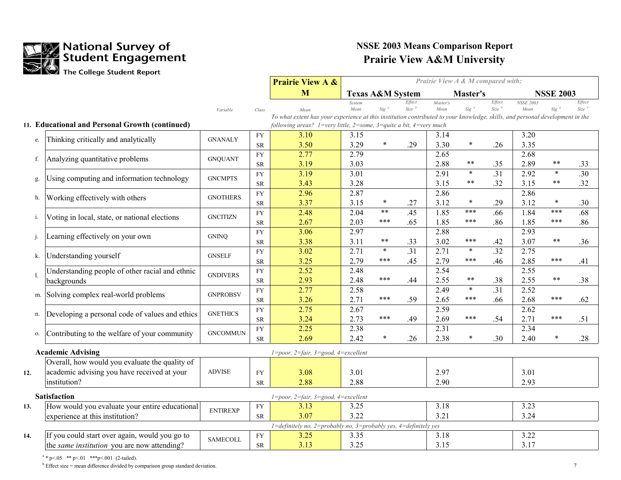

|     |                                                 |                 |            | <b>Prairie View A &amp;</b>                                                                                                   | Prairie View A & M compared with: |                             |                             |                  |                 |                  |                          |                  |                             |
|-----|-------------------------------------------------|-----------------|------------|-------------------------------------------------------------------------------------------------------------------------------|-----------------------------------|-----------------------------|-----------------------------|------------------|-----------------|------------------|--------------------------|------------------|-----------------------------|
|     |                                                 |                 |            | M                                                                                                                             |                                   | <b>Texas A&amp;M System</b> |                             |                  | Master's        |                  |                          | <b>NSSE 2003</b> |                             |
|     |                                                 | Variable        | Class      | Mean                                                                                                                          | System<br>Mean                    | $Sig^a$                     | Effect<br>Size <sup>b</sup> | Master's<br>Mean | $Sig^a$         | Effect<br>Size b | <b>NSSE 2003</b><br>Mean | $Sig^{\alpha}$   | Effect<br>Size <sup>b</sup> |
|     |                                                 |                 |            | To what extent has your experience at this institution contributed to your knowledge, skills, and personal development in the |                                   |                             |                             |                  |                 |                  |                          |                  |                             |
|     | 11. Educational and Personal Growth (continued) |                 |            | following areas? 1=very little, 2=some, 3=quite a bit, 4=very much                                                            |                                   |                             |                             |                  |                 |                  |                          |                  |                             |
| e.  | Thinking critically and analytically            | <b>GNANALY</b>  | <b>FY</b>  | 3.10                                                                                                                          | 3.15                              |                             |                             | 3.14             |                 |                  | 3.20                     |                  |                             |
|     |                                                 |                 | <b>SR</b>  | 3.50                                                                                                                          | 3.29                              | $\ast$                      | .29                         | 3.30             | $\ast$          | .26              | 3.35                     |                  |                             |
| f.  | Analyzing quantitative problems                 | <b>GNQUANT</b>  | <b>FY</b>  | 2.77                                                                                                                          | 2.79                              |                             |                             | 2.65             |                 |                  | 2.68                     |                  |                             |
|     |                                                 |                 | <b>SR</b>  | 3.19                                                                                                                          | 3.03                              |                             |                             | 2.88             | **              | .35              | 2.89                     | **               | .33                         |
| g.  | Using computing and information technology      | <b>GNCMPTS</b>  | <b>FY</b>  | 3.19                                                                                                                          | $\overline{3.01}$                 |                             |                             | 2.91             | $\star$         | .31              | 2.92                     | $\star$          | $\overline{.30}$            |
|     |                                                 |                 | ${\rm SR}$ | 3.43                                                                                                                          | 3.28                              |                             |                             | 3.15             | $***$           | .32              | 3.15                     | **               | .32                         |
| h.  | Working effectively with others                 | <b>GNOTHERS</b> | ${\rm FY}$ | 2.96                                                                                                                          | 2.87                              |                             |                             | 2.86             |                 |                  | 2.86                     |                  |                             |
|     |                                                 |                 | ${\rm SR}$ | 3.37                                                                                                                          | 3.15                              | $\ast$                      | .27                         | 3.12             | $\ast$          | .29              | 3.12                     | $\ast$           | .30                         |
| i.  | Voting in local, state, or national elections   | <b>GNCITIZN</b> | ${\rm FY}$ | 2.48                                                                                                                          | 2.04                              | $\star\star$                | .45                         | 1.85             | ***             | .66              | 1.84                     | ***              | .68                         |
|     |                                                 |                 | ${\rm SR}$ | 2.67                                                                                                                          | 2.03                              | ***                         | .65                         | 1.85             | ***             | .86              | 1.85                     | ***              | .86                         |
| j.  | Learning effectively on your own                | <b>GNINQ</b>    | ${\rm FY}$ | 3.06                                                                                                                          | 2.97                              |                             |                             | 2.88             |                 |                  | 2.93                     |                  |                             |
|     |                                                 |                 | ${\rm SR}$ | 3.38                                                                                                                          | 3.11                              | $\star\star$                | .33                         | 3.02             | ***             | .42              | 3.07                     | $\ast\ast$       | .36                         |
| k.  | Understanding yourself                          | <b>GNSELF</b>   | ${\rm FY}$ | 3.02                                                                                                                          | 2.71                              | $\ast$                      | .31                         | 2.71             | $\star$         | .32              | 2.75                     |                  |                             |
|     |                                                 |                 | ${\rm SR}$ | 3.25                                                                                                                          | 2.79                              | ***                         | .45                         | 2.79             | ***             | .46              | 2.85                     | ***              | .41                         |
| 1   | Understanding people of other racial and ethnic | <b>GNDIVERS</b> | ${\rm FY}$ | 2.52                                                                                                                          | 2.48                              | ***                         |                             | 2.54             |                 |                  | 2.55                     |                  |                             |
|     | backgrounds                                     |                 | ${\rm SR}$ | 2.93                                                                                                                          | 2.48                              |                             | .44                         | 2.55             | $***$<br>$\ast$ | .38              | 2.55                     | $***$            | .38                         |
| m.  | Solving complex real-world problems             | <b>GNPROBSV</b> | ${\rm FY}$ | 2.77                                                                                                                          | 2.58                              |                             |                             | 2.49             |                 | .31              | 2.52                     |                  |                             |
|     |                                                 |                 | ${\rm SR}$ | 3.26                                                                                                                          | 2.71                              | ***                         | .59                         | 2.65             | $***$           | .66              | 2.68                     | ***              | .62                         |
| n.  | Developing a personal code of values and ethics | <b>GNETHICS</b> | <b>FY</b>  | 2.75                                                                                                                          | 2.67                              | ***                         |                             | 2.59             | $***$           |                  | 2.62                     | ***              |                             |
|     |                                                 |                 | <b>SR</b>  | 3.24                                                                                                                          | 2.73                              |                             | .49                         | 2.69             |                 | .54              | 2.71                     |                  | .51                         |
| 0.  | Contributing to the welfare of your community   | <b>GNCOMMUN</b> | ${\rm FY}$ | 2.25                                                                                                                          | 2.38                              | $\ast$                      |                             | 2.31             | $\ast$          |                  | 2.34                     | $\ast$           |                             |
|     |                                                 |                 | ${\rm SR}$ | 2.69                                                                                                                          | 2.42                              |                             | .26                         | 2.38             |                 | .30              | 2.40                     |                  | .28                         |
|     | <b>Academic Advising</b>                        |                 |            | 1=poor, 2=fair, 3=good, 4=excellent                                                                                           |                                   |                             |                             |                  |                 |                  |                          |                  |                             |
|     | Overall, how would you evaluate the quality of  |                 |            |                                                                                                                               |                                   |                             |                             |                  |                 |                  |                          |                  |                             |
| 12. | academic advising you have received at your     | <b>ADVISE</b>   | <b>FY</b>  | 3.08                                                                                                                          | 3.01                              |                             |                             | 2.97             |                 |                  | 3.01                     |                  |                             |
|     | institution?                                    |                 | ${\rm SR}$ | 2.88                                                                                                                          | 2.88                              |                             |                             | 2.90             |                 |                  | 2.93                     |                  |                             |
|     | <b>Satisfaction</b>                             |                 |            | $1 = poor$ , $2 = fair$ , $3 = good$ , $4 = excellent$                                                                        |                                   |                             |                             |                  |                 |                  |                          |                  |                             |
| 13. | How would you evaluate your entire educational  |                 | ${\rm FY}$ | 3.13                                                                                                                          | 3.25                              |                             |                             | 3.18             |                 |                  | 3.23                     |                  |                             |
|     | experience at this institution?                 | <b>ENTIREXP</b> | <b>SR</b>  | 3.07                                                                                                                          | 3.22                              |                             |                             | 3.21             |                 |                  | 3.24                     |                  |                             |
|     |                                                 |                 |            | $1 =$ definitely no, $2 =$ probably no, $3 =$ probably yes, $4 =$ definitely yes                                              |                                   |                             |                             |                  |                 |                  |                          |                  |                             |
| 14. | If you could start over again, would you go to  |                 | ${\rm FY}$ | 3.25                                                                                                                          | 3.35                              |                             |                             | 3.18             |                 |                  | 3.22                     |                  |                             |
|     | the same institution you are now attending?     | <b>SAMECOLL</b> | <b>SR</b>  | 3.13                                                                                                                          | 3.25                              |                             |                             | 3.15             |                 |                  | 3.17                     |                  |                             |

 $a * p < 05$  \*\*  $p < 01$  \*\*\*  $p < 001$  (2-tailed).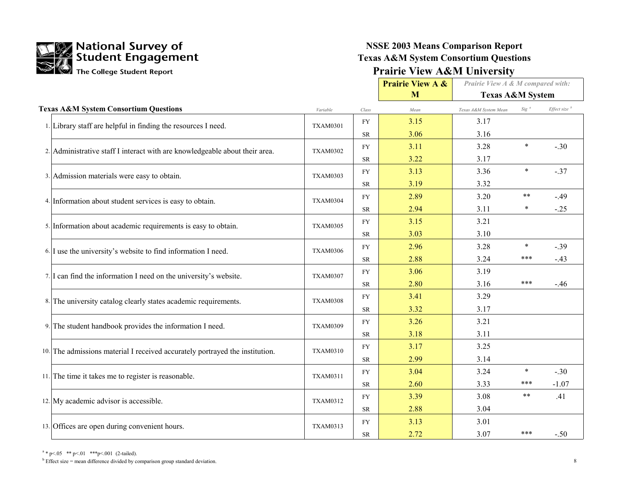

#### **NSSE 2003 Means Comparison Report Texas A&M System Consortium Questions Prairie View A&M University**

|                                                                              |                 |           | <b>Prairie View A &amp;</b> | Prairie View A & M compared with: |                  |                          |
|------------------------------------------------------------------------------|-----------------|-----------|-----------------------------|-----------------------------------|------------------|--------------------------|
|                                                                              |                 |           | M                           | <b>Texas A&amp;M System</b>       |                  |                          |
| <b>Texas A&amp;M System Consortium Questions</b>                             | Variable        | Class     | Mean                        | Texas A&M System Mean             | Sig <sup>a</sup> | Effect size <sup>b</sup> |
| 1. Library staff are helpful in finding the resources I need.                | <b>TXAM0301</b> | <b>FY</b> | 3.15                        | 3.17                              |                  |                          |
|                                                                              |                 | <b>SR</b> | 3.06                        | 3.16                              |                  |                          |
| 2. Administrative staff I interact with are knowledgeable about their area.  | <b>TXAM0302</b> | <b>FY</b> | 3.11                        | 3.28                              | $\star$          | $-.30$                   |
|                                                                              |                 | <b>SR</b> | 3.22                        | 3.17                              |                  |                          |
| 3. Admission materials were easy to obtain.                                  | <b>TXAM0303</b> | <b>FY</b> | 3.13                        | 3.36                              | $\ast$           | $-.37$                   |
|                                                                              |                 | <b>SR</b> | 3.19                        | 3.32                              |                  |                          |
| 4. Information about student services is easy to obtain.                     | <b>TXAM0304</b> | <b>FY</b> | 2.89                        | 3.20                              | $***$            | $-.49$                   |
|                                                                              |                 | <b>SR</b> | 2.94                        | 3.11                              |                  | $-.25$                   |
| 5. Information about academic requirements is easy to obtain.                | <b>TXAM0305</b> | <b>FY</b> | 3.15                        | 3.21                              |                  |                          |
|                                                                              |                 | <b>SR</b> | 3.03                        | 3.10                              |                  |                          |
| 6. I use the university's website to find information I need.                | <b>TXAM0306</b> | <b>FY</b> | 2.96                        | 3.28                              | $\ast$           | $-.39$                   |
|                                                                              |                 | <b>SR</b> | 2.88                        | 3.24                              | ***              | $-.43$                   |
| 7. I can find the information I need on the university's website.            | <b>TXAM0307</b> | <b>FY</b> | 3.06                        | 3.19                              |                  |                          |
|                                                                              |                 | <b>SR</b> | 2.80                        | 3.16                              | ***              | $-46$                    |
| 8. The university catalog clearly states academic requirements.              | <b>TXAM0308</b> | <b>FY</b> | 3.41                        | 3.29                              |                  |                          |
|                                                                              |                 | <b>SR</b> | 3.32                        | 3.17                              |                  |                          |
| 9. The student handbook provides the information I need.                     | <b>TXAM0309</b> | <b>FY</b> | 3.26                        | 3.21                              |                  |                          |
|                                                                              |                 | <b>SR</b> | 3.18                        | 3.11                              |                  |                          |
| 10. The admissions material I received accurately portrayed the institution. | <b>TXAM0310</b> | <b>FY</b> | 3.17                        | 3.25                              |                  |                          |
|                                                                              |                 | <b>SR</b> | 2.99                        | 3.14                              |                  |                          |
| 11. The time it takes me to register is reasonable.                          | <b>TXAM0311</b> | <b>FY</b> | 3.04                        | 3.24                              | $\star$          | $-.30$                   |
|                                                                              |                 | <b>SR</b> | 2.60                        | 3.33                              | ***              | $-1.07$                  |
| 12. My academic advisor is accessible.                                       | <b>TXAM0312</b> | <b>FY</b> | 3.39                        | 3.08                              | $***$            | .41                      |
|                                                                              |                 | <b>SR</b> | 2.88                        | 3.04                              |                  |                          |
| 13. Offices are open during convenient hours.                                | <b>TXAM0313</b> | <b>FY</b> | 3.13                        | 3.01                              |                  |                          |
|                                                                              |                 | <b>SR</b> | 2.72                        | 3.07                              | ***              | $-.50$                   |

<sup>a</sup> \* p <.05 \*\* p <.01 \*\*\*p <.001 (2-tailed).